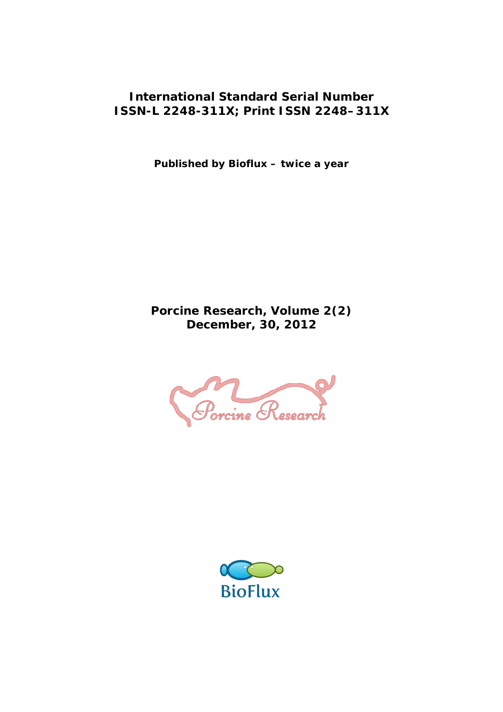### **International Standard Serial Number ISSN-L 2248-311X; Print ISSN 2248–311X**

**Published by Bioflux – twice a year**

**Porcine Research, Volume 2(2) December, 30, 2012**

Porcine Research

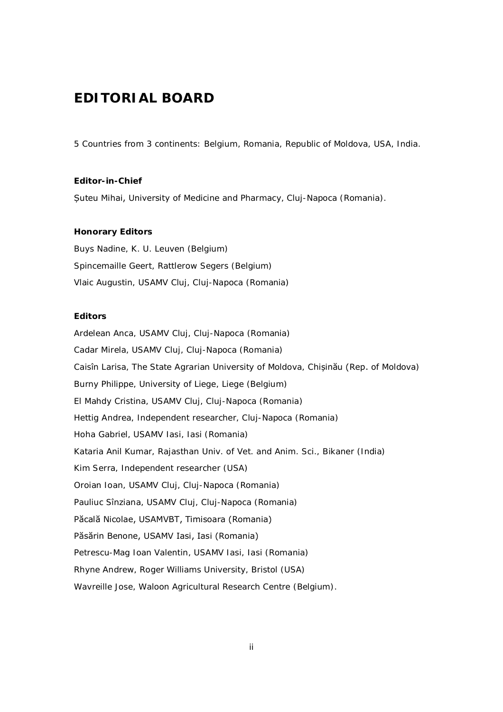## **EDITORIAL BOARD**

5 Countries from 3 continents: Belgium, Romania, Republic of Moldova, USA, India.

**Editor-in-Chief** Șuteu Mihai, University of Medicine and Pharmacy, Cluj-Napoca (Romania).

#### **Honorary Editors**

Buys Nadine, K. U. Leuven (Belgium) Spincemaille Geert, Rattlerow Segers (Belgium) Vlaic Augustin, USAMV Cluj, Cluj-Napoca (Romania)

#### **Editors**

Ardelean Anca, USAMV Cluj, Cluj-Napoca (Romania) Cadar Mirela, USAMV Cluj, Cluj-Napoca (Romania) Caisîn Larisa, The State Agrarian University of Moldova, Chișinău (Rep. of Moldova) Burny Philippe, University of Liege, Liege (Belgium) El Mahdy Cristina, USAMV Cluj, Cluj-Napoca (Romania) Hettig Andrea, Independent researcher, Cluj-Napoca (Romania) Hoha Gabriel, USAMV Iasi, Iasi (Romania) Kataria Anil Kumar, Rajasthan Univ. of Vet. and Anim. Sci., Bikaner (India) Kim Serra, Independent researcher (USA) Oroian Ioan, USAMV Cluj, Cluj-Napoca (Romania) Pauliuc Sînziana, USAMV Cluj, Cluj-Napoca (Romania) Păcală Nicolae, USAMVBT, Timisoara (Romania) Păsărin Benone, USAMV Iasi, Iasi (Romania) Petrescu-Mag Ioan Valentin, USAMV Iasi, Iasi (Romania) Rhyne Andrew, Roger Williams University, Bristol (USA) Wavreille Jose, Waloon Agricultural Research Centre (Belgium).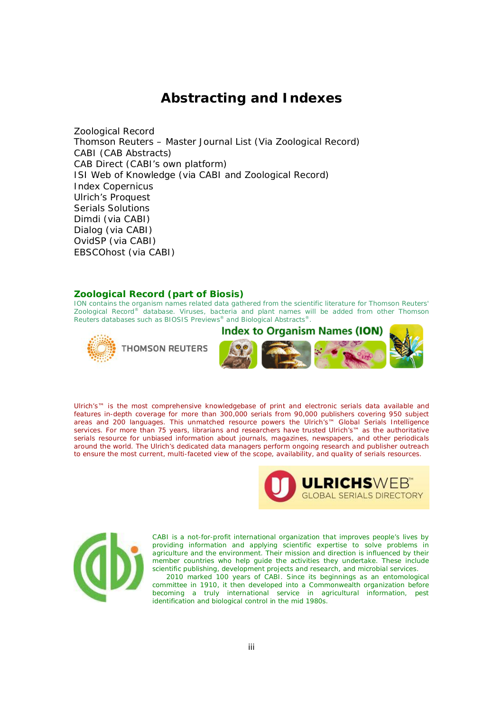## **Abstracting and Indexes**

Zoological Record Thomson Reuters – Master Journal List (Via Zoological Record) CABI (CAB Abstracts) CAB Direct (CABI's own platform) ISI Web of Knowledge (via CABI and Zoological Record) Index Copernicus Ulrich's Proquest Serials Solutions Dimdi (via CABI) Dialog (via CABI) OvidSP (via CABI) EBSCOhost (via CABI)

#### **Zoological Record (part of Biosis)**

ION contains the organism names related data gathered from the scientific literature for Thomson Reuters' *Zoological Record®* database. Viruses, bacteria and plant names will be added from other Thomson Reuters databases such as *BIOSIS Previews®* and *Biological Abstracts®.*





Ulrich's™ is the most comprehensive knowledgebase of print and electronic serials data available and features in-depth coverage for more than 300,000 serials from 90,000 publishers covering 950 subject areas and 200 languages. This unmatched resource powers the Ulrich's™ Global Serials Intelligence services. For more than 75 years, librarians and researchers have trusted Ulrich's™ as the authoritative serials resource for unbiased information about journals, magazines, newspapers, and other periodicals around the world. The Ulrich's dedicated data managers perform ongoing research and publisher outreach to ensure the most current, multi-faceted view of the scope, availability, and quality of serials resources.





CABI is a not-for-profit international organization that improves people's lives by providing information and applying scientific expertise to solve problems in agriculture and the environment. Their mission and direction is influenced by their member countries who help guide the activities they undertake. These include scientific publishing, development projects and research, and microbial services.

 2010 marked 100 years of CABI. Since its beginnings as an entomological committee in 1910, it then developed into a Commonwealth organization before becoming a truly international service in agricultural information, pest identification and biological control in the mid 1980s.